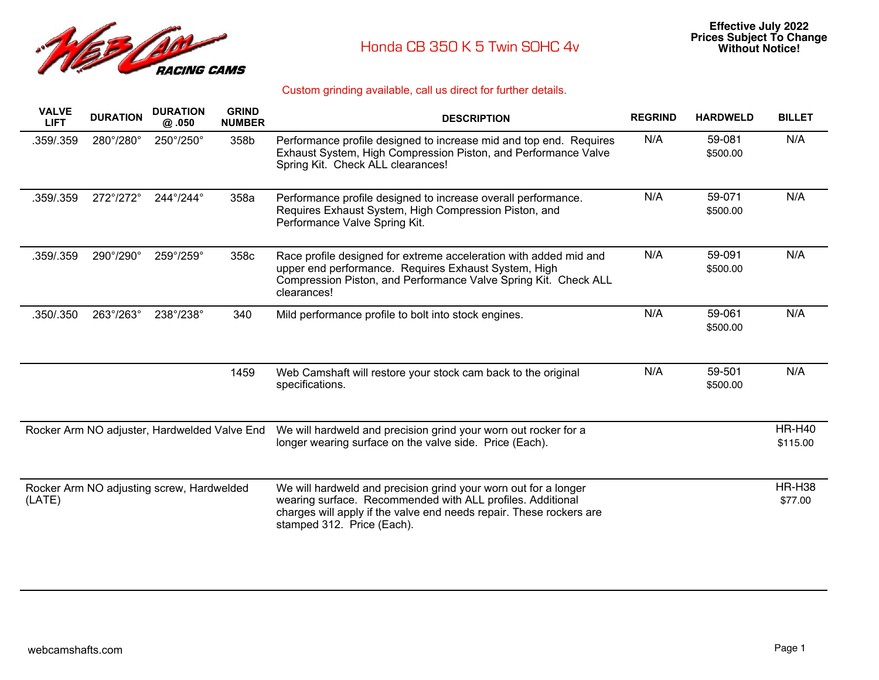

| <b>VALVE</b><br><b>LIFT</b>                  | <b>DURATION</b>           | <b>DURATION</b><br>@ .050                 | <b>GRIND</b><br><b>NUMBER</b> | <b>DESCRIPTION</b>                                                                                                                                                                                                                 | <b>REGRIND</b> | <b>HARDWELD</b>    | <b>BILLET</b>             |
|----------------------------------------------|---------------------------|-------------------------------------------|-------------------------------|------------------------------------------------------------------------------------------------------------------------------------------------------------------------------------------------------------------------------------|----------------|--------------------|---------------------------|
| .359/.359                                    | 280°/280°                 | $250^{\circ}/250^{\circ}$                 | 358b                          | Performance profile designed to increase mid and top end. Requires<br>Exhaust System, High Compression Piston, and Performance Valve<br>Spring Kit. Check ALL clearances!                                                          | N/A            | 59-081<br>\$500.00 | N/A                       |
| .359/.359                                    | 272°/272°                 | 244°/244°                                 | 358a                          | Performance profile designed to increase overall performance.<br>Requires Exhaust System, High Compression Piston, and<br>Performance Valve Spring Kit.                                                                            | N/A            | 59-071<br>\$500.00 | N/A                       |
| .359/.359                                    | 290°/290°                 | 259°/259°                                 | 358c                          | Race profile designed for extreme acceleration with added mid and<br>upper end performance. Requires Exhaust System, High<br>Compression Piston, and Performance Valve Spring Kit. Check ALL<br>clearances!                        | N/A            | 59-091<br>\$500.00 | N/A                       |
| .350/.350                                    | $263^{\circ}/263^{\circ}$ | 238°/238°                                 | 340                           | Mild performance profile to bolt into stock engines.                                                                                                                                                                               | N/A            | 59-061<br>\$500.00 | N/A                       |
|                                              |                           |                                           | 1459                          | Web Camshaft will restore your stock cam back to the original<br>specifications.                                                                                                                                                   | N/A            | 59-501<br>\$500.00 | N/A                       |
| Rocker Arm NO adjuster, Hardwelded Valve End |                           |                                           |                               | We will hardweld and precision grind your worn out rocker for a<br>longer wearing surface on the valve side. Price (Each).                                                                                                         |                |                    | <b>HR-H40</b><br>\$115.00 |
| (LATE)                                       |                           | Rocker Arm NO adjusting screw, Hardwelded |                               | We will hardweld and precision grind your worn out for a longer<br>wearing surface. Recommended with ALL profiles. Additional<br>charges will apply if the valve end needs repair. These rockers are<br>stamped 312. Price (Each). |                |                    | <b>HR-H38</b><br>\$77.00  |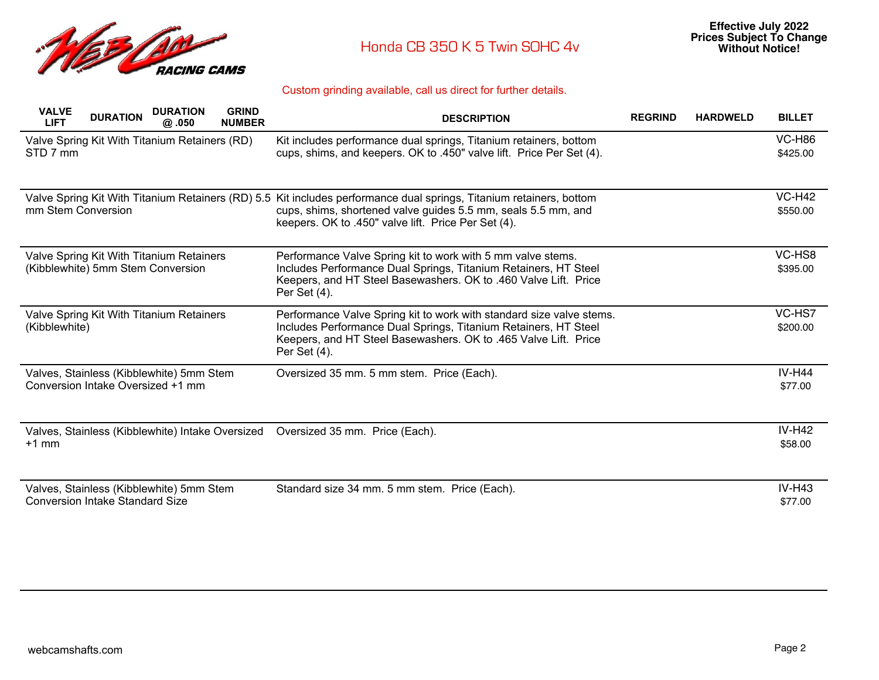

| <b>VALVE</b><br><b>LIFT</b>            | <b>DURATION</b><br><b>DURATION</b><br>@.050                                   | <b>GRIND</b><br><b>NUMBER</b> | <b>DESCRIPTION</b>                                                                                                                                                                                                         | <b>REGRIND</b> | <b>HARDWELD</b> | <b>BILLET</b>             |
|----------------------------------------|-------------------------------------------------------------------------------|-------------------------------|----------------------------------------------------------------------------------------------------------------------------------------------------------------------------------------------------------------------------|----------------|-----------------|---------------------------|
| STD 7 mm                               | Valve Spring Kit With Titanium Retainers (RD)                                 |                               | Kit includes performance dual springs, Titanium retainers, bottom<br>cups, shims, and keepers. OK to .450" valve lift. Price Per Set (4).                                                                                  |                |                 | <b>VC-H86</b><br>\$425.00 |
| mm Stem Conversion                     | Valve Spring Kit With Titanium Retainers (RD) 5.5                             |                               | Kit includes performance dual springs, Titanium retainers, bottom<br>cups, shims, shortened valve guides 5.5 mm, seals 5.5 mm, and<br>keepers. OK to .450" valve lift. Price Per Set (4).                                  |                |                 | $VC-H42$<br>\$550.00      |
|                                        | Valve Spring Kit With Titanium Retainers<br>(Kibblewhite) 5mm Stem Conversion |                               | Performance Valve Spring kit to work with 5 mm valve stems.<br>Includes Performance Dual Springs, Titanium Retainers, HT Steel<br>Keepers, and HT Steel Basewashers. OK to .460 Valve Lift. Price<br>Per Set (4).          |                |                 | VC-HS8<br>\$395.00        |
| (Kibblewhite)                          | Valve Spring Kit With Titanium Retainers                                      |                               | Performance Valve Spring kit to work with standard size valve stems.<br>Includes Performance Dual Springs, Titanium Retainers, HT Steel<br>Keepers, and HT Steel Basewashers. OK to .465 Valve Lift. Price<br>Per Set (4). |                |                 | VC-HS7<br>\$200.00        |
|                                        | Valves, Stainless (Kibblewhite) 5mm Stem<br>Conversion Intake Oversized +1 mm |                               | Oversized 35 mm. 5 mm stem. Price (Each).                                                                                                                                                                                  |                |                 | <b>IV-H44</b><br>\$77.00  |
| $+1$ mm                                | Valves, Stainless (Kibblewhite) Intake Oversized                              |                               | Oversized 35 mm. Price (Each).                                                                                                                                                                                             |                |                 | <b>IV-H42</b><br>\$58.00  |
| <b>Conversion Intake Standard Size</b> | Valves, Stainless (Kibblewhite) 5mm Stem                                      |                               | Standard size 34 mm. 5 mm stem. Price (Each).                                                                                                                                                                              |                |                 | $IV-H43$<br>\$77.00       |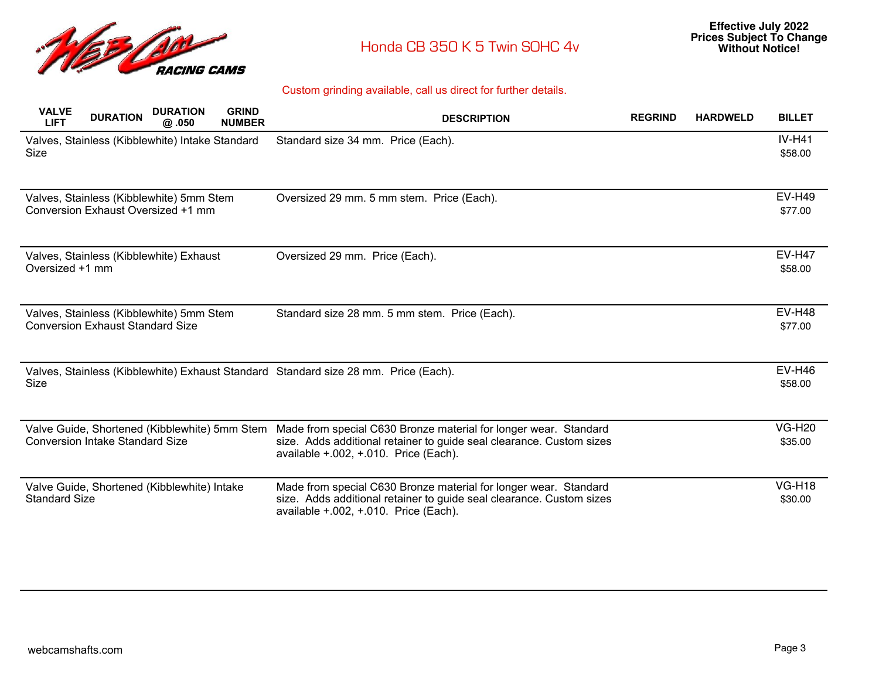

| <b>VALVE</b><br><b>LIFT</b>                                                             | <b>DURATION</b> | <b>DURATION</b><br>@.050 | <b>GRIND</b><br><b>NUMBER</b> | <b>DESCRIPTION</b>                                                                                                                                                                 | <b>REGRIND</b> | <b>HARDWELD</b> | <b>BILLET</b>            |
|-----------------------------------------------------------------------------------------|-----------------|--------------------------|-------------------------------|------------------------------------------------------------------------------------------------------------------------------------------------------------------------------------|----------------|-----------------|--------------------------|
| Valves, Stainless (Kibblewhite) Intake Standard<br>Size                                 |                 |                          |                               | Standard size 34 mm. Price (Each).                                                                                                                                                 |                |                 | <b>IV-H41</b><br>\$58.00 |
| Valves, Stainless (Kibblewhite) 5mm Stem<br>Conversion Exhaust Oversized +1 mm          |                 |                          |                               | Oversized 29 mm. 5 mm stem. Price (Each).                                                                                                                                          |                |                 | <b>EV-H49</b><br>\$77.00 |
| Valves, Stainless (Kibblewhite) Exhaust<br>Oversized +1 mm                              |                 |                          |                               | Oversized 29 mm. Price (Each).                                                                                                                                                     |                |                 | <b>EV-H47</b><br>\$58.00 |
| Valves, Stainless (Kibblewhite) 5mm Stem<br><b>Conversion Exhaust Standard Size</b>     |                 |                          |                               | Standard size 28 mm. 5 mm stem. Price (Each).                                                                                                                                      |                |                 | <b>EV-H48</b><br>\$77.00 |
| Size                                                                                    |                 |                          |                               | Valves, Stainless (Kibblewhite) Exhaust Standard Standard size 28 mm. Price (Each).                                                                                                |                |                 | <b>EV-H46</b><br>\$58.00 |
| Valve Guide, Shortened (Kibblewhite) 5mm Stem<br><b>Conversion Intake Standard Size</b> |                 |                          |                               | Made from special C630 Bronze material for longer wear. Standard<br>size. Adds additional retainer to guide seal clearance. Custom sizes<br>available $+.002,+.010.$ Price (Each). |                |                 | <b>VG-H20</b><br>\$35.00 |
| Valve Guide, Shortened (Kibblewhite) Intake<br><b>Standard Size</b>                     |                 |                          |                               | Made from special C630 Bronze material for longer wear. Standard<br>size. Adds additional retainer to guide seal clearance. Custom sizes<br>available +.002, +.010. Price (Each).  |                |                 | <b>VG-H18</b><br>\$30.00 |